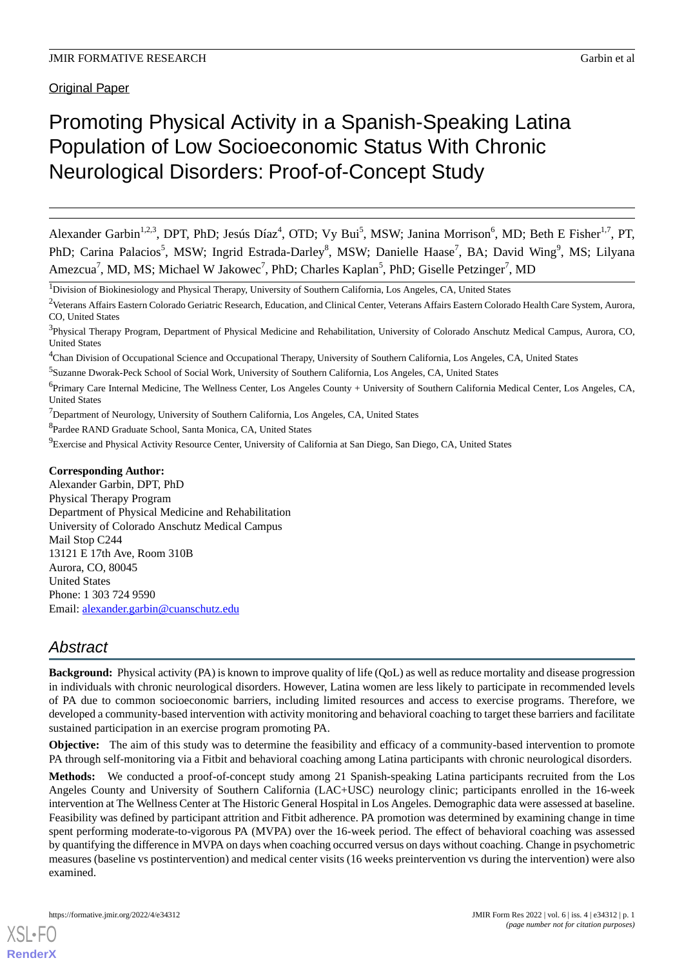Original Paper

# Promoting Physical Activity in a Spanish-Speaking Latina Population of Low Socioeconomic Status With Chronic Neurological Disorders: Proof-of-Concept Study

Alexander Garbin<sup>1,2,3</sup>, DPT, PhD; Jesús Díaz<sup>4</sup>, OTD; Vy Bui<sup>5</sup>, MSW; Janina Morrison<sup>6</sup>, MD; Beth E Fisher<sup>1,7</sup>, PT, PhD; Carina Palacios<sup>5</sup>, MSW; Ingrid Estrada-Darley<sup>8</sup>, MSW; Danielle Haase<sup>7</sup>, BA; David Wing<sup>9</sup>, MS; Lilyana Amezcua<sup>7</sup>, MD, MS; Michael W Jakowec<sup>7</sup>, PhD; Charles Kaplan<sup>5</sup>, PhD; Giselle Petzinger<sup>7</sup>, MD

<sup>1</sup>Division of Biokinesiology and Physical Therapy, University of Southern California, Los Angeles, CA, United States

<sup>2</sup>Veterans Affairs Eastern Colorado Geriatric Research, Education, and Clinical Center, Veterans Affairs Eastern Colorado Health Care System, Aurora, CO, United States

<sup>4</sup>Chan Division of Occupational Science and Occupational Therapy, University of Southern California, Los Angeles, CA, United States

5 Suzanne Dworak-Peck School of Social Work, University of Southern California, Los Angeles, CA, United States

<sup>7</sup>Department of Neurology, University of Southern California, Los Angeles, CA, United States

<sup>8</sup>Pardee RAND Graduate School, Santa Monica, CA, United States

<sup>9</sup>Exercise and Physical Activity Resource Center, University of California at San Diego, San Diego, CA, United States

### **Corresponding Author:**

Alexander Garbin, DPT, PhD Physical Therapy Program Department of Physical Medicine and Rehabilitation University of Colorado Anschutz Medical Campus Mail Stop C244 13121 E 17th Ave, Room 310B Aurora, CO, 80045 United States Phone: 1 303 724 9590 Email: [alexander.garbin@cuanschutz.edu](mailto:alexander.garbin@cuanschutz.edu)

# *Abstract*

**Background:** Physical activity (PA) is known to improve quality of life (OoL) as well as reduce mortality and disease progression in individuals with chronic neurological disorders. However, Latina women are less likely to participate in recommended levels of PA due to common socioeconomic barriers, including limited resources and access to exercise programs. Therefore, we developed a community-based intervention with activity monitoring and behavioral coaching to target these barriers and facilitate sustained participation in an exercise program promoting PA.

**Objective:** The aim of this study was to determine the feasibility and efficacy of a community-based intervention to promote PA through self-monitoring via a Fitbit and behavioral coaching among Latina participants with chronic neurological disorders.

**Methods:** We conducted a proof-of-concept study among 21 Spanish-speaking Latina participants recruited from the Los Angeles County and University of Southern California (LAC+USC) neurology clinic; participants enrolled in the 16-week intervention at The Wellness Center at The Historic General Hospital in Los Angeles. Demographic data were assessed at baseline. Feasibility was defined by participant attrition and Fitbit adherence. PA promotion was determined by examining change in time spent performing moderate-to-vigorous PA (MVPA) over the 16-week period. The effect of behavioral coaching was assessed by quantifying the difference in MVPA on days when coaching occurred versus on days without coaching. Change in psychometric measures (baseline vs postintervention) and medical center visits (16 weeks preintervention vs during the intervention) were also examined.

<sup>&</sup>lt;sup>3</sup>Physical Therapy Program, Department of Physical Medicine and Rehabilitation, University of Colorado Anschutz Medical Campus, Aurora, CO, United States

<sup>&</sup>lt;sup>6</sup>Primary Care Internal Medicine, The Wellness Center, Los Angeles County + University of Southern California Medical Center, Los Angeles, CA, United States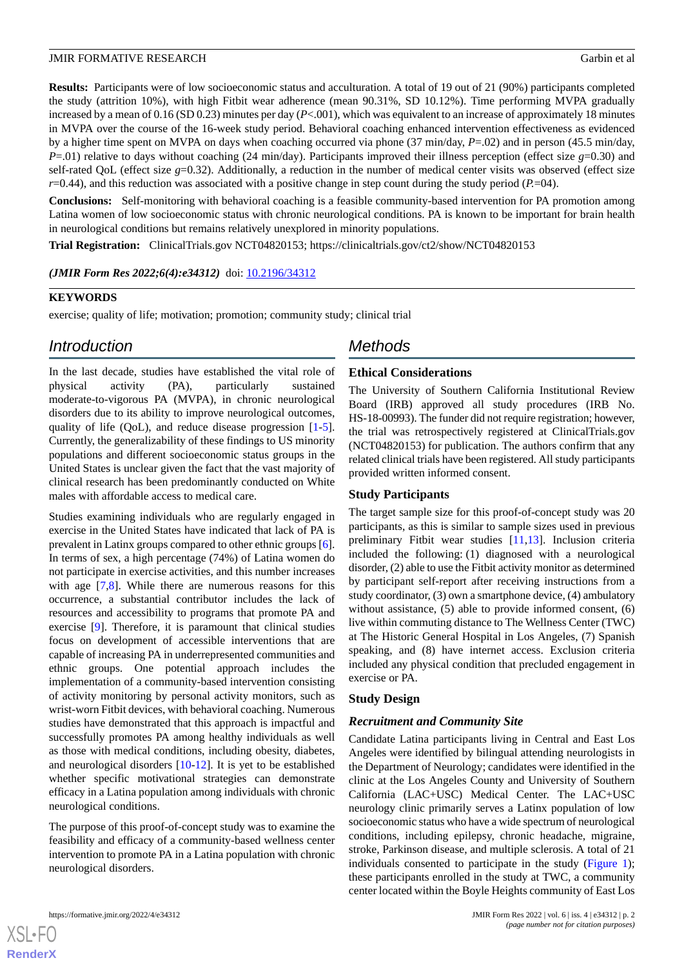**Results:** Participants were of low socioeconomic status and acculturation. A total of 19 out of 21 (90%) participants completed the study (attrition 10%), with high Fitbit wear adherence (mean 90.31%, SD 10.12%). Time performing MVPA gradually increased by a mean of 0.16 (SD 0.23) minutes per day (*P*<.001), which was equivalent to an increase of approximately 18 minutes in MVPA over the course of the 16-week study period. Behavioral coaching enhanced intervention effectiveness as evidenced by a higher time spent on MVPA on days when coaching occurred via phone (37 min/day, *P*=.02) and in person (45.5 min/day, *P*=.01) relative to days without coaching (24 min/day). Participants improved their illness perception (effect size *g*=0.30) and self-rated QoL (effect size *g*=0.32). Additionally, a reduction in the number of medical center visits was observed (effect size *r*=0.44), and this reduction was associated with a positive change in step count during the study period (*P*.=04).

**Conclusions:** Self-monitoring with behavioral coaching is a feasible community-based intervention for PA promotion among Latina women of low socioeconomic status with chronic neurological conditions. PA is known to be important for brain health in neurological conditions but remains relatively unexplored in minority populations.

**Trial Registration:** ClinicalTrials.gov NCT04820153; https://clinicaltrials.gov/ct2/show/NCT04820153

*(JMIR Form Res 2022;6(4):e34312)* doi: [10.2196/34312](http://dx.doi.org/10.2196/34312)

#### **KEYWORDS**

exercise; quality of life; motivation; promotion; community study; clinical trial

# *Introduction*

In the last decade, studies have established the vital role of physical activity (PA), particularly sustained moderate-to-vigorous PA (MVPA), in chronic neurological disorders due to its ability to improve neurological outcomes, quality of life (QoL), and reduce disease progression [\[1-](#page-10-0)[5\]](#page-11-0). Currently, the generalizability of these findings to US minority populations and different socioeconomic status groups in the United States is unclear given the fact that the vast majority of clinical research has been predominantly conducted on White males with affordable access to medical care.

Studies examining individuals who are regularly engaged in exercise in the United States have indicated that lack of PA is prevalent in Latinx groups compared to other ethnic groups [[6\]](#page-11-1). In terms of sex, a high percentage (74%) of Latina women do not participate in exercise activities, and this number increases with age [\[7](#page-11-2),[8\]](#page-11-3). While there are numerous reasons for this occurrence, a substantial contributor includes the lack of resources and accessibility to programs that promote PA and exercise [\[9\]](#page-11-4). Therefore, it is paramount that clinical studies focus on development of accessible interventions that are capable of increasing PA in underrepresented communities and ethnic groups. One potential approach includes the implementation of a community-based intervention consisting of activity monitoring by personal activity monitors, such as wrist-worn Fitbit devices, with behavioral coaching. Numerous studies have demonstrated that this approach is impactful and successfully promotes PA among healthy individuals as well as those with medical conditions, including obesity, diabetes, and neurological disorders [[10-](#page-11-5)[12\]](#page-11-6). It is yet to be established whether specific motivational strategies can demonstrate efficacy in a Latina population among individuals with chronic neurological conditions.

The purpose of this proof-of-concept study was to examine the feasibility and efficacy of a community-based wellness center intervention to promote PA in a Latina population with chronic neurological disorders.

# *Methods*

#### **Ethical Considerations**

The University of Southern California Institutional Review Board (IRB) approved all study procedures (IRB No. HS-18-00993). The funder did not require registration; however, the trial was retrospectively registered at ClinicalTrials.gov (NCT04820153) for publication. The authors confirm that any related clinical trials have been registered. All study participants provided written informed consent.

# **Study Participants**

The target sample size for this proof-of-concept study was 20 participants, as this is similar to sample sizes used in previous preliminary Fitbit wear studies [[11](#page-11-7)[,13](#page-11-8)]. Inclusion criteria included the following: (1) diagnosed with a neurological disorder, (2) able to use the Fitbit activity monitor as determined by participant self-report after receiving instructions from a study coordinator, (3) own a smartphone device, (4) ambulatory without assistance, (5) able to provide informed consent, (6) live within commuting distance to The Wellness Center (TWC) at The Historic General Hospital in Los Angeles, (7) Spanish speaking, and (8) have internet access. Exclusion criteria included any physical condition that precluded engagement in exercise or PA.

# **Study Design**

# *Recruitment and Community Site*

Candidate Latina participants living in Central and East Los Angeles were identified by bilingual attending neurologists in the Department of Neurology; candidates were identified in the clinic at the Los Angeles County and University of Southern California (LAC+USC) Medical Center. The LAC+USC neurology clinic primarily serves a Latinx population of low socioeconomic status who have a wide spectrum of neurological conditions, including epilepsy, chronic headache, migraine, stroke, Parkinson disease, and multiple sclerosis. A total of 21 individuals consented to participate in the study [\(Figure 1\)](#page-2-0); these participants enrolled in the study at TWC, a community center located within the Boyle Heights community of East Los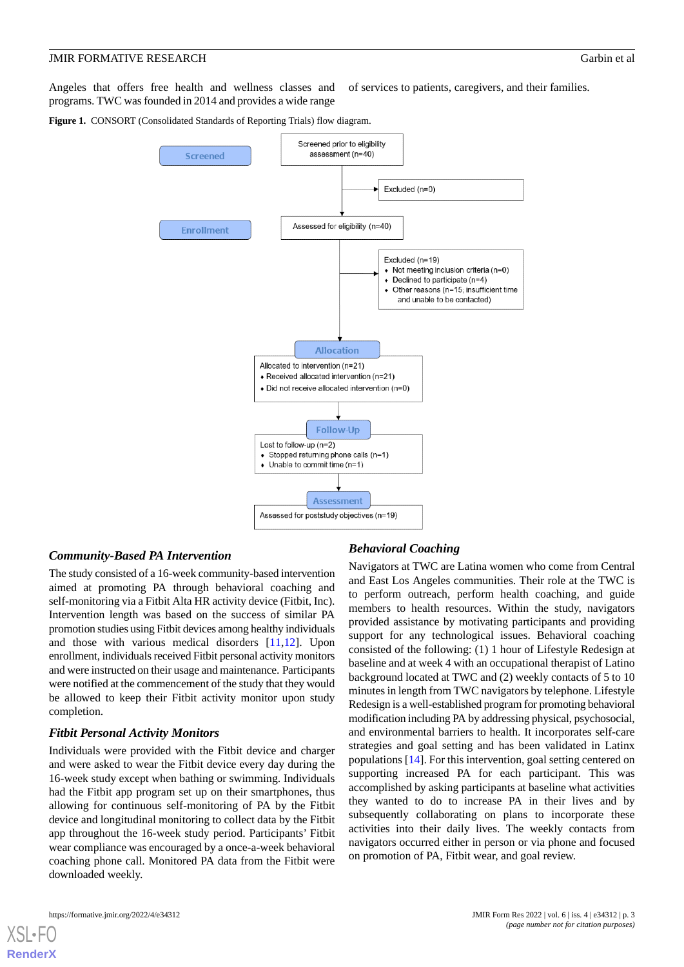Angeles that offers free health and wellness classes and programs. TWC was founded in 2014 and provides a wide range of services to patients, caregivers, and their families.

<span id="page-2-0"></span>**Figure 1.** CONSORT (Consolidated Standards of Reporting Trials) flow diagram.



#### *Community-Based PA Intervention*

The study consisted of a 16-week community-based intervention aimed at promoting PA through behavioral coaching and self-monitoring via a Fitbit Alta HR activity device (Fitbit, Inc). Intervention length was based on the success of similar PA promotion studies using Fitbit devices among healthy individuals and those with various medical disorders [[11,](#page-11-7)[12](#page-11-6)]. Upon enrollment, individuals received Fitbit personal activity monitors and were instructed on their usage and maintenance. Participants were notified at the commencement of the study that they would be allowed to keep their Fitbit activity monitor upon study completion.

# *Fitbit Personal Activity Monitors*

Individuals were provided with the Fitbit device and charger and were asked to wear the Fitbit device every day during the 16-week study except when bathing or swimming. Individuals had the Fitbit app program set up on their smartphones, thus allowing for continuous self-monitoring of PA by the Fitbit device and longitudinal monitoring to collect data by the Fitbit app throughout the 16-week study period. Participants' Fitbit wear compliance was encouraged by a once-a-week behavioral coaching phone call. Monitored PA data from the Fitbit were downloaded weekly.

# *Behavioral Coaching*

Navigators at TWC are Latina women who come from Central and East Los Angeles communities. Their role at the TWC is to perform outreach, perform health coaching, and guide members to health resources. Within the study, navigators provided assistance by motivating participants and providing support for any technological issues. Behavioral coaching consisted of the following: (1) 1 hour of Lifestyle Redesign at baseline and at week 4 with an occupational therapist of Latino background located at TWC and (2) weekly contacts of 5 to 10 minutes in length from TWC navigators by telephone. Lifestyle Redesign is a well-established program for promoting behavioral modification including PA by addressing physical, psychosocial, and environmental barriers to health. It incorporates self-care strategies and goal setting and has been validated in Latinx populations [[14\]](#page-11-9). For this intervention, goal setting centered on supporting increased PA for each participant. This was accomplished by asking participants at baseline what activities they wanted to do to increase PA in their lives and by subsequently collaborating on plans to incorporate these activities into their daily lives. The weekly contacts from navigators occurred either in person or via phone and focused on promotion of PA, Fitbit wear, and goal review.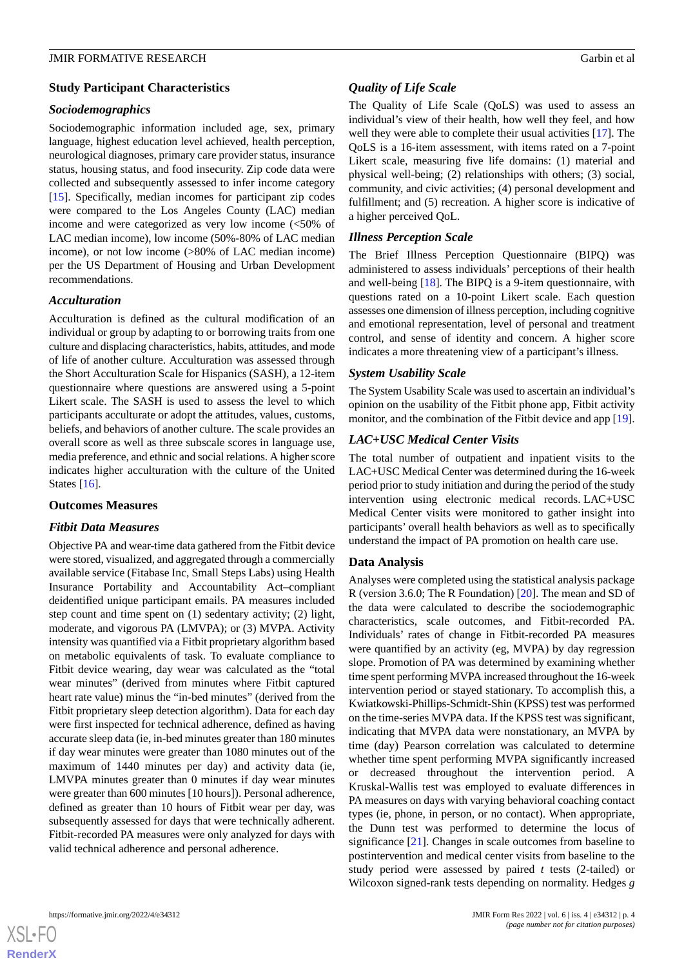#### **Study Participant Characteristics**

#### *Sociodemographics*

Sociodemographic information included age, sex, primary language, highest education level achieved, health perception, neurological diagnoses, primary care provider status, insurance status, housing status, and food insecurity. Zip code data were collected and subsequently assessed to infer income category [[15\]](#page-11-10). Specifically, median incomes for participant zip codes were compared to the Los Angeles County (LAC) median income and were categorized as very low income (<50% of LAC median income), low income (50%-80% of LAC median income), or not low income (>80% of LAC median income) per the US Department of Housing and Urban Development recommendations.

# *Acculturation*

Acculturation is defined as the cultural modification of an individual or group by adapting to or borrowing traits from one culture and displacing characteristics, habits, attitudes, and mode of life of another culture. Acculturation was assessed through the Short Acculturation Scale for Hispanics (SASH), a 12-item questionnaire where questions are answered using a 5-point Likert scale. The SASH is used to assess the level to which participants acculturate or adopt the attitudes, values, customs, beliefs, and behaviors of another culture. The scale provides an overall score as well as three subscale scores in language use, media preference, and ethnic and social relations. A higher score indicates higher acculturation with the culture of the United States [\[16](#page-11-11)].

#### **Outcomes Measures**

#### *Fitbit Data Measures*

Objective PA and wear-time data gathered from the Fitbit device were stored, visualized, and aggregated through a commercially available service (Fitabase Inc, Small Steps Labs) using Health Insurance Portability and Accountability Act–compliant deidentified unique participant emails. PA measures included step count and time spent on (1) sedentary activity; (2) light, moderate, and vigorous PA (LMVPA); or (3) MVPA. Activity intensity was quantified via a Fitbit proprietary algorithm based on metabolic equivalents of task. To evaluate compliance to Fitbit device wearing, day wear was calculated as the "total wear minutes" (derived from minutes where Fitbit captured heart rate value) minus the "in-bed minutes" (derived from the Fitbit proprietary sleep detection algorithm). Data for each day were first inspected for technical adherence, defined as having accurate sleep data (ie, in-bed minutes greater than 180 minutes if day wear minutes were greater than 1080 minutes out of the maximum of 1440 minutes per day) and activity data (ie, LMVPA minutes greater than 0 minutes if day wear minutes were greater than 600 minutes [10 hours]). Personal adherence, defined as greater than 10 hours of Fitbit wear per day, was subsequently assessed for days that were technically adherent. Fitbit-recorded PA measures were only analyzed for days with valid technical adherence and personal adherence.

#### *Quality of Life Scale*

The Quality of Life Scale (QoLS) was used to assess an individual's view of their health, how well they feel, and how well they were able to complete their usual activities [[17\]](#page-11-12). The QoLS is a 16-item assessment, with items rated on a 7-point Likert scale, measuring five life domains: (1) material and physical well-being; (2) relationships with others; (3) social, community, and civic activities; (4) personal development and fulfillment; and (5) recreation. A higher score is indicative of a higher perceived QoL.

#### *Illness Perception Scale*

The Brief Illness Perception Questionnaire (BIPQ) was administered to assess individuals' perceptions of their health and well-being [\[18](#page-11-13)]. The BIPQ is a 9-item questionnaire, with questions rated on a 10-point Likert scale. Each question assesses one dimension of illness perception, including cognitive and emotional representation, level of personal and treatment control, and sense of identity and concern. A higher score indicates a more threatening view of a participant's illness.

#### *System Usability Scale*

The System Usability Scale was used to ascertain an individual's opinion on the usability of the Fitbit phone app, Fitbit activity monitor, and the combination of the Fitbit device and app [[19\]](#page-11-14).

#### *LAC+USC Medical Center Visits*

The total number of outpatient and inpatient visits to the LAC+USC Medical Center was determined during the 16-week period prior to study initiation and during the period of the study intervention using electronic medical records. LAC+USC Medical Center visits were monitored to gather insight into participants' overall health behaviors as well as to specifically understand the impact of PA promotion on health care use.

#### **Data Analysis**

Analyses were completed using the statistical analysis package R (version 3.6.0; The R Foundation) [\[20](#page-11-15)]. The mean and SD of the data were calculated to describe the sociodemographic characteristics, scale outcomes, and Fitbit-recorded PA. Individuals' rates of change in Fitbit-recorded PA measures were quantified by an activity (eg, MVPA) by day regression slope. Promotion of PA was determined by examining whether time spent performing MVPA increased throughout the 16-week intervention period or stayed stationary. To accomplish this, a Kwiatkowski-Phillips-Schmidt-Shin (KPSS) test was performed on the time-series MVPA data. If the KPSS test was significant, indicating that MVPA data were nonstationary, an MVPA by time (day) Pearson correlation was calculated to determine whether time spent performing MVPA significantly increased or decreased throughout the intervention period. A Kruskal-Wallis test was employed to evaluate differences in PA measures on days with varying behavioral coaching contact types (ie, phone, in person, or no contact). When appropriate, the Dunn test was performed to determine the locus of significance [[21\]](#page-11-16). Changes in scale outcomes from baseline to postintervention and medical center visits from baseline to the study period were assessed by paired *t* tests (2-tailed) or Wilcoxon signed-rank tests depending on normality. Hedges *g*

 $XS$ -FO **[RenderX](http://www.renderx.com/)**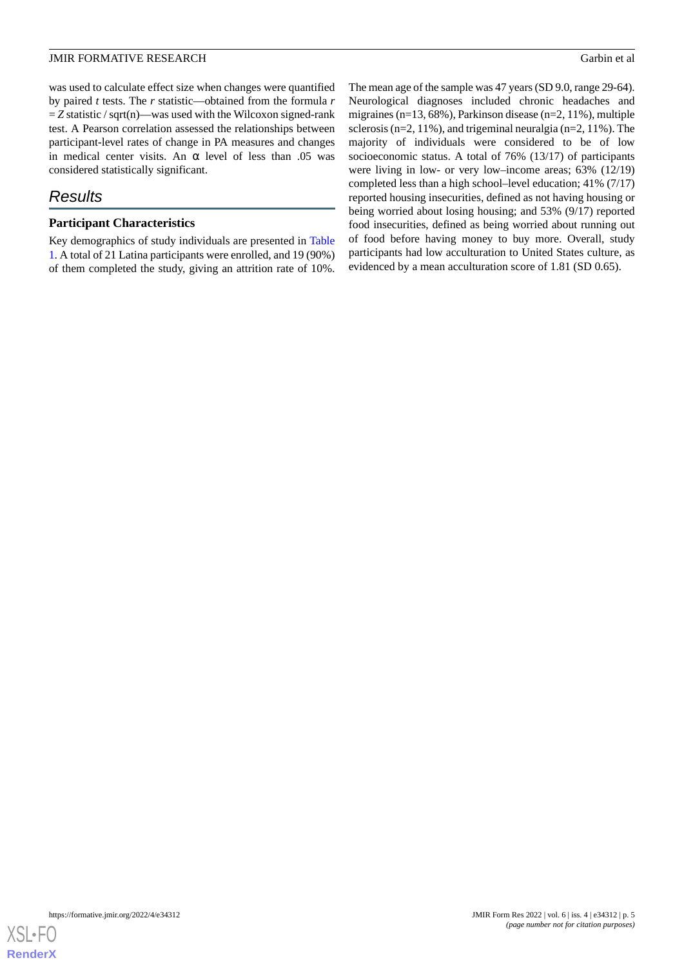was used to calculate effect size when changes were quantified by paired *t* tests. The *r* statistic—obtained from the formula *r*  $=$  *Z* statistic / sqrt(n)—was used with the Wilcoxon signed-rank test. A Pearson correlation assessed the relationships between participant-level rates of change in PA measures and changes in medical center visits. An  $\alpha$  level of less than .05 was considered statistically significant.

# *Results*

### **Participant Characteristics**

Key demographics of study individuals are presented in [Table](#page-5-0) [1.](#page-5-0) A total of 21 Latina participants were enrolled, and 19 (90%) of them completed the study, giving an attrition rate of 10%.

The mean age of the sample was 47 years (SD 9.0, range 29-64). Neurological diagnoses included chronic headaches and migraines (n=13, 68%), Parkinson disease (n=2, 11%), multiple sclerosis (n=2, 11%), and trigeminal neuralgia (n=2, 11%). The majority of individuals were considered to be of low socioeconomic status. A total of 76% (13/17) of participants were living in low- or very low–income areas; 63% (12/19) completed less than a high school–level education; 41% (7/17) reported housing insecurities, defined as not having housing or being worried about losing housing; and 53% (9/17) reported food insecurities, defined as being worried about running out of food before having money to buy more. Overall, study participants had low acculturation to United States culture, as evidenced by a mean acculturation score of 1.81 (SD 0.65).

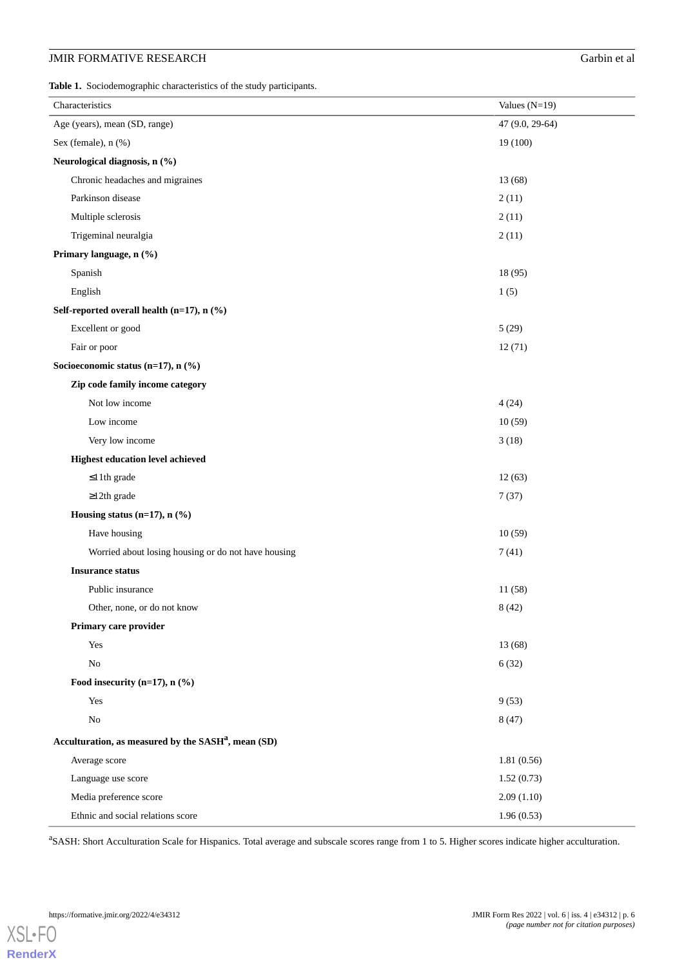# **JMIR FORMATIVE RESEARCH** Garbin et al.

<span id="page-5-0"></span>**Table 1.** Sociodemographic characteristics of the study participants.

| Characteristics                                                 | Values $(N=19)$ |
|-----------------------------------------------------------------|-----------------|
| Age (years), mean (SD, range)                                   | 47 (9.0, 29-64) |
| Sex (female), n (%)                                             | 19(100)         |
| Neurological diagnosis, n (%)                                   |                 |
| Chronic headaches and migraines                                 | 13(68)          |
| Parkinson disease                                               | 2(11)           |
| Multiple sclerosis                                              | 2(11)           |
| Trigeminal neuralgia                                            | 2(11)           |
| Primary language, n (%)                                         |                 |
| Spanish                                                         | 18(95)          |
| English                                                         | 1(5)            |
| Self-reported overall health (n=17), n (%)                      |                 |
| Excellent or good                                               | 5(29)           |
| Fair or poor                                                    | 12(71)          |
| Socioeconomic status (n=17), n (%)                              |                 |
| Zip code family income category                                 |                 |
| Not low income                                                  | 4(24)           |
| Low income                                                      | 10(59)          |
| Very low income                                                 | 3(18)           |
| <b>Highest education level achieved</b>                         |                 |
| $\leq$ 11th grade                                               | 12(63)          |
| $\geq$ 12th grade                                               | 7(37)           |
| Housing status (n=17), $n$ (%)                                  |                 |
| Have housing                                                    | 10(59)          |
| Worried about losing housing or do not have housing             | 7(41)           |
| <b>Insurance status</b>                                         |                 |
| Public insurance                                                | 11(58)          |
| Other, none, or do not know                                     | 8(42)           |
| Primary care provider                                           |                 |
| Yes                                                             | 13 (68)         |
| $\rm No$                                                        | 6(32)           |
| Food insecurity (n=17), $n$ (%)                                 |                 |
| Yes                                                             | 9(53)           |
| $\rm No$                                                        | 8(47)           |
| Acculturation, as measured by the SASH <sup>a</sup> , mean (SD) |                 |
| Average score                                                   | 1.81(0.56)      |
| Language use score                                              | 1.52(0.73)      |
| Media preference score                                          | 2.09(1.10)      |
| Ethnic and social relations score                               | 1.96(0.53)      |

<sup>a</sup>SASH: Short Acculturation Scale for Hispanics. Total average and subscale scores range from 1 to 5. Higher scores indicate higher acculturation.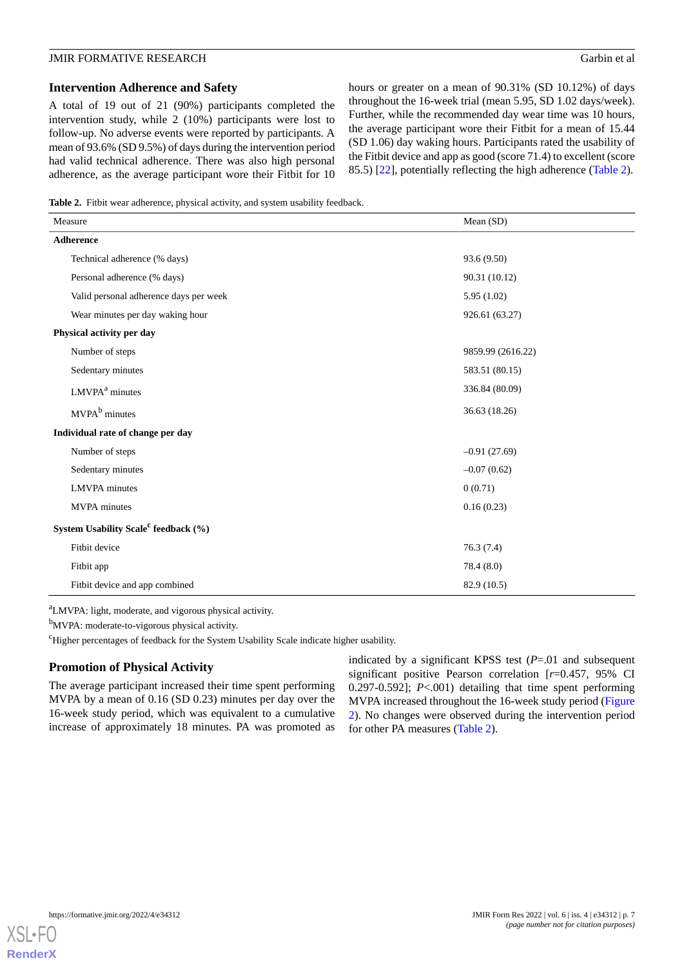#### **Intervention Adherence and Safety**

A total of 19 out of 21 (90%) participants completed the intervention study, while 2 (10%) participants were lost to follow-up. No adverse events were reported by participants. A mean of 93.6% (SD 9.5%) of days during the intervention period had valid technical adherence. There was also high personal adherence, as the average participant wore their Fitbit for 10 hours or greater on a mean of 90.31% (SD 10.12%) of days throughout the 16-week trial (mean 5.95, SD 1.02 days/week). Further, while the recommended day wear time was 10 hours, the average participant wore their Fitbit for a mean of 15.44 (SD 1.06) day waking hours. Participants rated the usability of the Fitbit device and app as good (score 71.4) to excellent (score 85.5) [\[22](#page-11-17)], potentially reflecting the high adherence [\(Table 2\)](#page-6-0).

<span id="page-6-0"></span>**Table 2.** Fitbit wear adherence, physical activity, and system usability feedback.

| Measure                                          | Mean $(SD)$       |
|--------------------------------------------------|-------------------|
| Adherence                                        |                   |
| Technical adherence (% days)                     | 93.6 (9.50)       |
| Personal adherence (% days)                      | 90.31 (10.12)     |
| Valid personal adherence days per week           | 5.95(1.02)        |
| Wear minutes per day waking hour                 | 926.61 (63.27)    |
| Physical activity per day                        |                   |
| Number of steps                                  | 9859.99 (2616.22) |
| Sedentary minutes                                | 583.51 (80.15)    |
| LMVPA <sup>a</sup> minutes                       | 336.84 (80.09)    |
| MVPA <sup>b</sup> minutes                        | 36.63 (18.26)     |
| Individual rate of change per day                |                   |
| Number of steps                                  | $-0.91(27.69)$    |
| Sedentary minutes                                | $-0.07(0.62)$     |
| <b>LMVPA</b> minutes                             | 0(0.71)           |
| <b>MVPA</b> minutes                              | 0.16(0.23)        |
| System Usability Scale <sup>c</sup> feedback (%) |                   |
| Fitbit device                                    | 76.3(7.4)         |
| Fitbit app                                       | 78.4(8.0)         |
| Fitbit device and app combined                   | 82.9 (10.5)       |

<sup>a</sup>LMVPA: light, moderate, and vigorous physical activity.

b<sub>MVPA</sub>: moderate-to-vigorous physical activity.

<sup>c</sup>Higher percentages of feedback for the System Usability Scale indicate higher usability.

# **Promotion of Physical Activity**

The average participant increased their time spent performing MVPA by a mean of 0.16 (SD 0.23) minutes per day over the 16-week study period, which was equivalent to a cumulative increase of approximately 18 minutes. PA was promoted as

indicated by a significant KPSS test (*P*=.01 and subsequent significant positive Pearson correlation [*r*=0.457, 95% CI 0.297-0.592]; *P*<.001) detailing that time spent performing MVPA increased throughout the 16-week study period ([Figure](#page-7-0) [2\)](#page-7-0). No changes were observed during the intervention period for other PA measures [\(Table 2\)](#page-6-0).

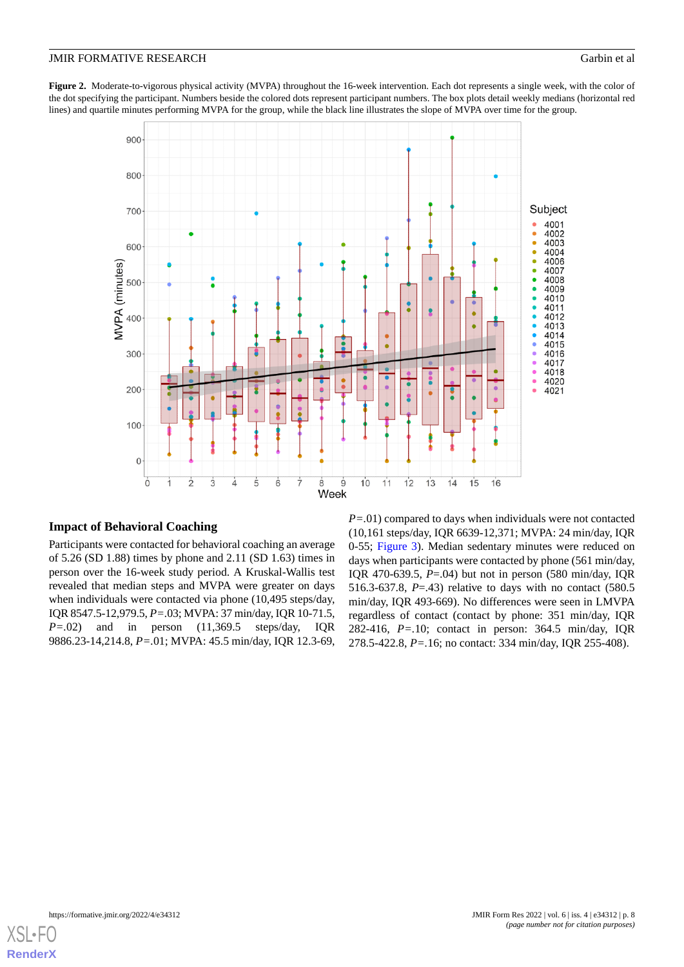<span id="page-7-0"></span>Figure 2. Moderate-to-vigorous physical activity (MVPA) throughout the 16-week intervention. Each dot represents a single week, with the color of the dot specifying the participant. Numbers beside the colored dots represent participant numbers. The box plots detail weekly medians (horizontal red lines) and quartile minutes performing MVPA for the group, while the black line illustrates the slope of MVPA over time for the group.



# **Impact of Behavioral Coaching**

Participants were contacted for behavioral coaching an average of 5.26 (SD 1.88) times by phone and 2.11 (SD 1.63) times in person over the 16-week study period. A Kruskal-Wallis test revealed that median steps and MVPA were greater on days when individuals were contacted via phone (10,495 steps/day, IQR 8547.5-12,979.5, *P=.*03; MVPA: 37 min/day, IQR 10-71.5, *P=.*02) and in person (11,369.5 steps/day, IQR 9886.23-14,214.8, *P=.*01; MVPA: 45.5 min/day, IQR 12.3-69,

*P=.*01) compared to days when individuals were not contacted (10,161 steps/day, IQR 6639-12,371; MVPA: 24 min/day, IQR 0-55; [Figure 3](#page-8-0)). Median sedentary minutes were reduced on days when participants were contacted by phone (561 min/day, IQR 470-639.5, *P*=.04) but not in person (580 min/day, IQR 516.3-637.8, *P*=.43) relative to days with no contact (580.5 min/day, IQR 493-669). No differences were seen in LMVPA regardless of contact (contact by phone: 351 min/day, IQR 282-416, *P=.*10; contact in person: 364.5 min/day, IQR 278.5-422.8, *P=.*16; no contact: 334 min/day, IQR 255-408).

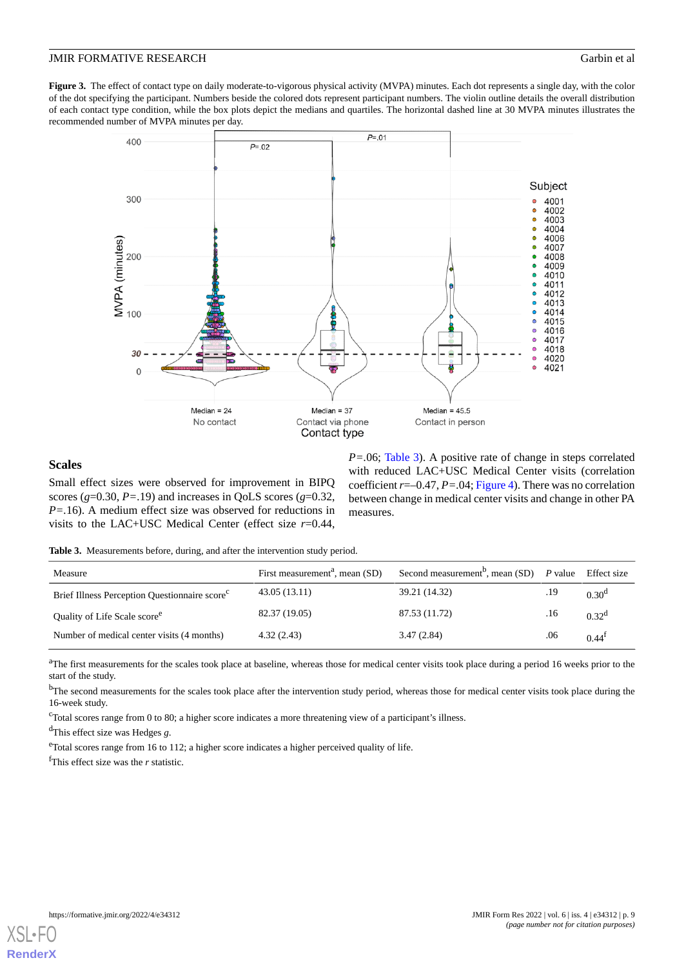<span id="page-8-0"></span>**Figure 3.** The effect of contact type on daily moderate-to-vigorous physical activity (MVPA) minutes. Each dot represents a single day, with the color of the dot specifying the participant. Numbers beside the colored dots represent participant numbers. The violin outline details the overall distribution of each contact type condition, while the box plots depict the medians and quartiles. The horizontal dashed line at 30 MVPA minutes illustrates the recommended number of MVPA minutes per day.



#### **Scales**

<span id="page-8-1"></span>Small effect sizes were observed for improvement in BIPQ scores  $(g=0.30, P=.19)$  and increases in QoLS scores  $(g=0.32, P=.19)$ *P=.*16). A medium effect size was observed for reductions in visits to the LAC+USC Medical Center (effect size *r*=0.44,

*P=.*06; [Table 3\)](#page-8-1). A positive rate of change in steps correlated with reduced LAC+USC Medical Center visits (correlation coefficient  $r = -0.47$ ,  $P = .04$ ; [Figure 4](#page-9-0)). There was no correlation between change in medical center visits and change in other PA measures.

**Table 3.** Measurements before, during, and after the intervention study period.

| Measure                                                   | First measurement <sup>a</sup> , mean (SD) | Second measurement <sup>b</sup> , mean (SD) $P$ value |     | Effect size      |
|-----------------------------------------------------------|--------------------------------------------|-------------------------------------------------------|-----|------------------|
| Brief Illness Perception Questionnaire score <sup>c</sup> | 43.05 (13.11)                              | 39.21 (14.32)                                         | .19 | $0.30^{\rm d}$   |
| Quality of Life Scale score <sup>e</sup>                  | 82.37 (19.05)                              | 87.53 (11.72)                                         | .16 | $0.32^d$         |
| Number of medical center visits (4 months)                | 4.32(2.43)                                 | 3.47(2.84)                                            | .06 | $0.44^{\dagger}$ |

<sup>a</sup>The first measurements for the scales took place at baseline, whereas those for medical center visits took place during a period 16 weeks prior to the start of the study.

<sup>b</sup>The second measurements for the scales took place after the intervention study period, whereas those for medical center visits took place during the 16-week study.

<sup>c</sup>Total scores range from 0 to 80; a higher score indicates a more threatening view of a participant's illness.

<sup>d</sup>This effect size was Hedges *g*.

eTotal scores range from 16 to 112; a higher score indicates a higher perceived quality of life.

<sup>f</sup>This effect size was the *r* statistic.

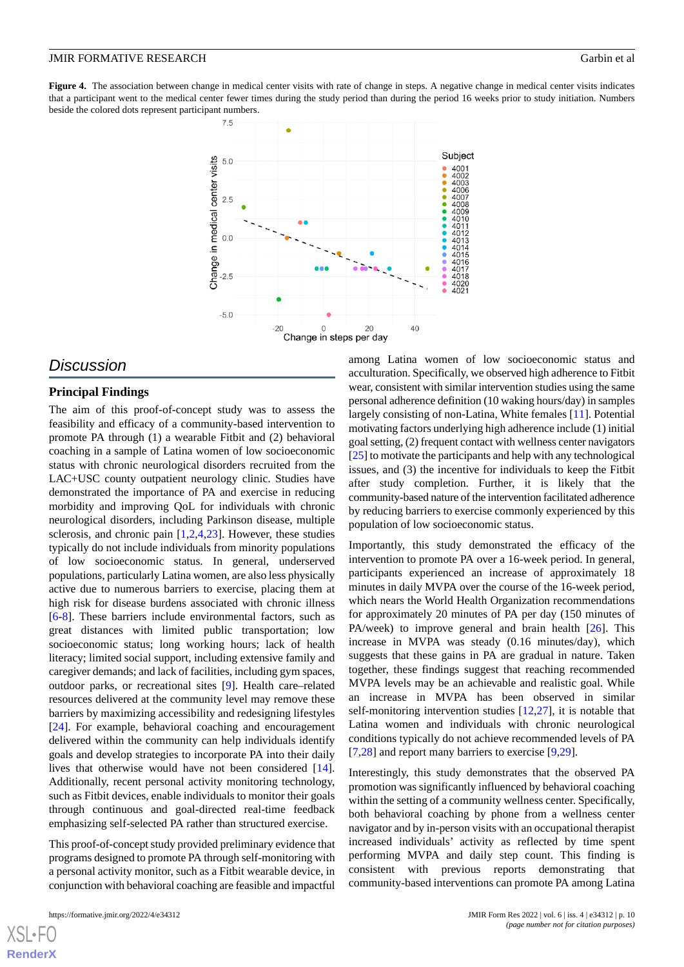<span id="page-9-0"></span>Figure 4. The association between change in medical center visits with rate of change in steps. A negative change in medical center visits indicates that a participant went to the medical center fewer times during the study period than during the period 16 weeks prior to study initiation. Numbers beside the colored dots represent participant numbers.



# *Discussion*

#### **Principal Findings**

The aim of this proof-of-concept study was to assess the feasibility and efficacy of a community-based intervention to promote PA through (1) a wearable Fitbit and (2) behavioral coaching in a sample of Latina women of low socioeconomic status with chronic neurological disorders recruited from the LAC+USC county outpatient neurology clinic. Studies have demonstrated the importance of PA and exercise in reducing morbidity and improving QoL for individuals with chronic neurological disorders, including Parkinson disease, multiple sclerosis, and chronic pain [\[1](#page-10-0),[2](#page-10-1)[,4](#page-11-18),[23\]](#page-11-19). However, these studies typically do not include individuals from minority populations of low socioeconomic status. In general, underserved populations, particularly Latina women, are also less physically active due to numerous barriers to exercise, placing them at high risk for disease burdens associated with chronic illness [[6](#page-11-1)[-8](#page-11-3)]. These barriers include environmental factors, such as great distances with limited public transportation; low socioeconomic status; long working hours; lack of health literacy; limited social support, including extensive family and caregiver demands; and lack of facilities, including gym spaces, outdoor parks, or recreational sites [\[9\]](#page-11-4). Health care–related resources delivered at the community level may remove these barriers by maximizing accessibility and redesigning lifestyles [[24\]](#page-11-20). For example, behavioral coaching and encouragement delivered within the community can help individuals identify goals and develop strategies to incorporate PA into their daily lives that otherwise would have not been considered [[14\]](#page-11-9). Additionally, recent personal activity monitoring technology, such as Fitbit devices, enable individuals to monitor their goals through continuous and goal-directed real-time feedback emphasizing self-selected PA rather than structured exercise.

This proof-of-concept study provided preliminary evidence that programs designed to promote PA through self-monitoring with a personal activity monitor, such as a Fitbit wearable device, in conjunction with behavioral coaching are feasible and impactful

among Latina women of low socioeconomic status and acculturation. Specifically, we observed high adherence to Fitbit wear, consistent with similar intervention studies using the same personal adherence definition (10 waking hours/day) in samples largely consisting of non-Latina, White females [\[11](#page-11-7)]. Potential motivating factors underlying high adherence include (1) initial goal setting, (2) frequent contact with wellness center navigators [[25\]](#page-11-21) to motivate the participants and help with any technological issues, and (3) the incentive for individuals to keep the Fitbit after study completion. Further, it is likely that the community-based nature of the intervention facilitated adherence by reducing barriers to exercise commonly experienced by this population of low socioeconomic status.

Importantly, this study demonstrated the efficacy of the intervention to promote PA over a 16-week period. In general, participants experienced an increase of approximately 18 minutes in daily MVPA over the course of the 16-week period, which nears the World Health Organization recommendations for approximately 20 minutes of PA per day (150 minutes of PA/week) to improve general and brain health [[26\]](#page-12-0). This increase in MVPA was steady (0.16 minutes/day), which suggests that these gains in PA are gradual in nature. Taken together, these findings suggest that reaching recommended MVPA levels may be an achievable and realistic goal. While an increase in MVPA has been observed in similar self-monitoring intervention studies [[12](#page-11-6)[,27](#page-12-1)], it is notable that Latina women and individuals with chronic neurological conditions typically do not achieve recommended levels of PA [[7](#page-11-2)[,28](#page-12-2)] and report many barriers to exercise [[9](#page-11-4)[,29](#page-12-3)].

Interestingly, this study demonstrates that the observed PA promotion was significantly influenced by behavioral coaching within the setting of a community wellness center. Specifically, both behavioral coaching by phone from a wellness center navigator and by in-person visits with an occupational therapist increased individuals' activity as reflected by time spent performing MVPA and daily step count. This finding is consistent with previous reports demonstrating that community-based interventions can promote PA among Latina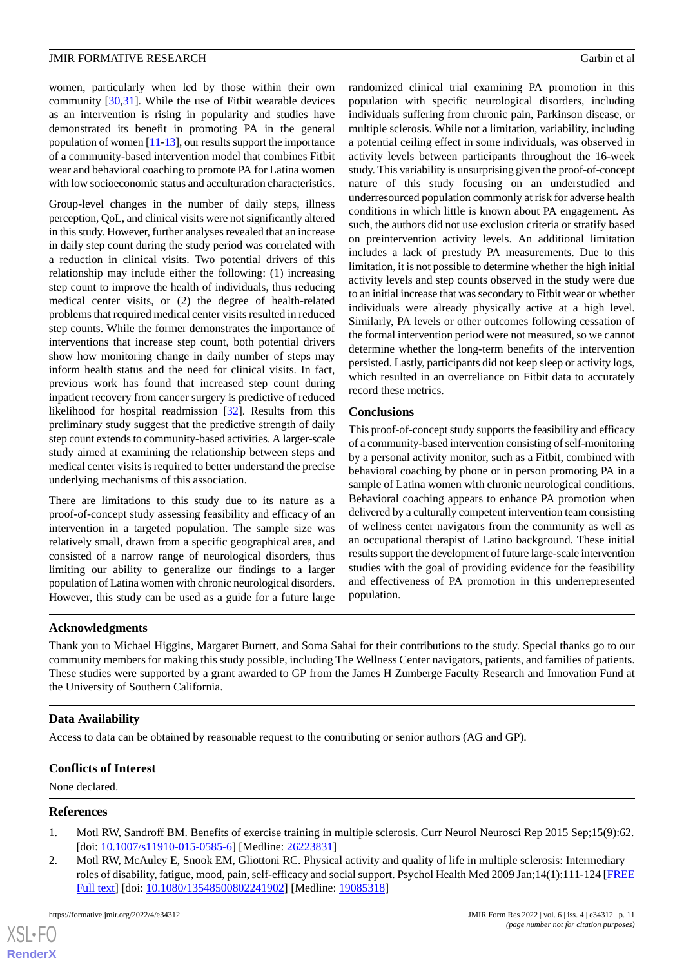women, particularly when led by those within their own community  $[30,31]$  $[30,31]$  $[30,31]$  $[30,31]$ . While the use of Fitbit wearable devices as an intervention is rising in popularity and studies have demonstrated its benefit in promoting PA in the general population of women [\[11](#page-11-7)[-13\]](#page-11-8), our results support the importance of a community-based intervention model that combines Fitbit wear and behavioral coaching to promote PA for Latina women with low socioeconomic status and acculturation characteristics.

Group-level changes in the number of daily steps, illness perception, QoL, and clinical visits were not significantly altered in this study. However, further analyses revealed that an increase in daily step count during the study period was correlated with a reduction in clinical visits. Two potential drivers of this relationship may include either the following: (1) increasing step count to improve the health of individuals, thus reducing medical center visits, or (2) the degree of health-related problems that required medical center visits resulted in reduced step counts. While the former demonstrates the importance of interventions that increase step count, both potential drivers show how monitoring change in daily number of steps may inform health status and the need for clinical visits. In fact, previous work has found that increased step count during inpatient recovery from cancer surgery is predictive of reduced likelihood for hospital readmission [[32\]](#page-12-6). Results from this preliminary study suggest that the predictive strength of daily step count extends to community-based activities. A larger-scale study aimed at examining the relationship between steps and medical center visits is required to better understand the precise underlying mechanisms of this association.

There are limitations to this study due to its nature as a proof-of-concept study assessing feasibility and efficacy of an intervention in a targeted population. The sample size was relatively small, drawn from a specific geographical area, and consisted of a narrow range of neurological disorders, thus limiting our ability to generalize our findings to a larger population of Latina women with chronic neurological disorders. However, this study can be used as a guide for a future large

randomized clinical trial examining PA promotion in this population with specific neurological disorders, including individuals suffering from chronic pain, Parkinson disease, or multiple sclerosis. While not a limitation, variability, including a potential ceiling effect in some individuals, was observed in activity levels between participants throughout the 16-week study. This variability is unsurprising given the proof-of-concept nature of this study focusing on an understudied and underresourced population commonly at risk for adverse health conditions in which little is known about PA engagement. As such, the authors did not use exclusion criteria or stratify based on preintervention activity levels. An additional limitation includes a lack of prestudy PA measurements. Due to this limitation, it is not possible to determine whether the high initial activity levels and step counts observed in the study were due to an initial increase that was secondary to Fitbit wear or whether individuals were already physically active at a high level. Similarly, PA levels or other outcomes following cessation of the formal intervention period were not measured, so we cannot determine whether the long-term benefits of the intervention persisted. Lastly, participants did not keep sleep or activity logs, which resulted in an overreliance on Fitbit data to accurately record these metrics.

# **Conclusions**

This proof-of-concept study supports the feasibility and efficacy of a community-based intervention consisting of self-monitoring by a personal activity monitor, such as a Fitbit, combined with behavioral coaching by phone or in person promoting PA in a sample of Latina women with chronic neurological conditions. Behavioral coaching appears to enhance PA promotion when delivered by a culturally competent intervention team consisting of wellness center navigators from the community as well as an occupational therapist of Latino background. These initial results support the development of future large-scale intervention studies with the goal of providing evidence for the feasibility and effectiveness of PA promotion in this underrepresented population.

# **Acknowledgments**

Thank you to Michael Higgins, Margaret Burnett, and Soma Sahai for their contributions to the study. Special thanks go to our community members for making this study possible, including The Wellness Center navigators, patients, and families of patients. These studies were supported by a grant awarded to GP from the James H Zumberge Faculty Research and Innovation Fund at the University of Southern California.

#### **Data Availability**

<span id="page-10-0"></span>Access to data can be obtained by reasonable request to the contributing or senior authors (AG and GP).

#### <span id="page-10-1"></span>**Conflicts of Interest**

None declared.

#### **References**

 $XS$ -FO **[RenderX](http://www.renderx.com/)**

- 1. Motl RW, Sandroff BM. Benefits of exercise training in multiple sclerosis. Curr Neurol Neurosci Rep 2015 Sep;15(9):62. [doi: [10.1007/s11910-015-0585-6](http://dx.doi.org/10.1007/s11910-015-0585-6)] [Medline: [26223831\]](http://www.ncbi.nlm.nih.gov/entrez/query.fcgi?cmd=Retrieve&db=PubMed&list_uids=26223831&dopt=Abstract)
- 2. Motl RW, McAuley E, Snook EM, Gliottoni RC. Physical activity and quality of life in multiple sclerosis: Intermediary roles of disability, fatigue, mood, pain, self-efficacy and social support. Psychol Health Med 2009 Jan;14(1):111-124 [\[FREE](http://europepmc.org/abstract/MED/19085318) [Full text\]](http://europepmc.org/abstract/MED/19085318) [doi: [10.1080/13548500802241902\]](http://dx.doi.org/10.1080/13548500802241902) [Medline: [19085318](http://www.ncbi.nlm.nih.gov/entrez/query.fcgi?cmd=Retrieve&db=PubMed&list_uids=19085318&dopt=Abstract)]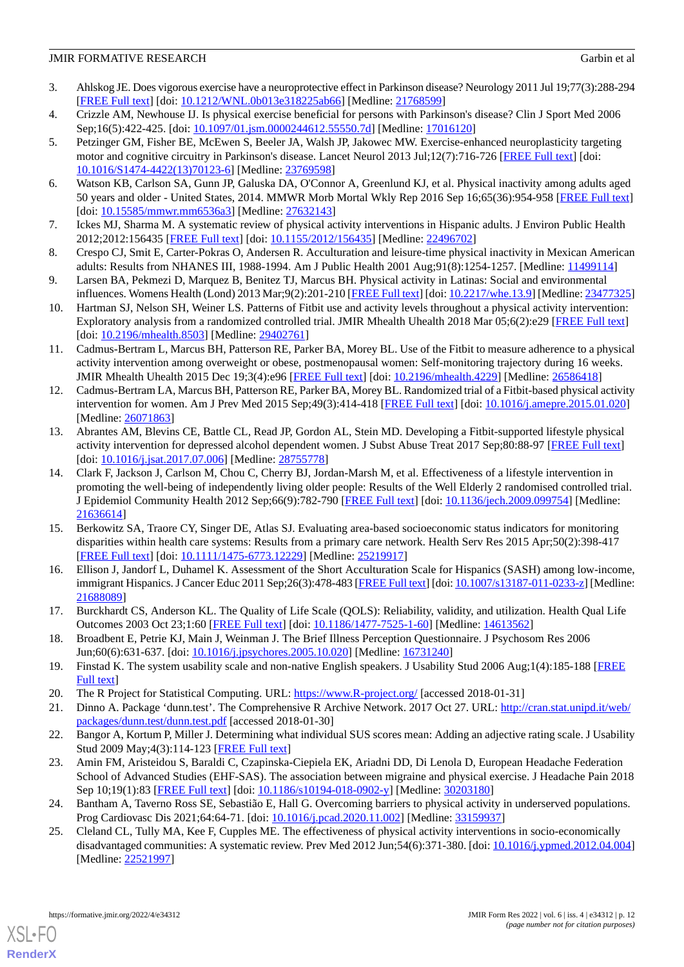- 3. Ahlskog JE. Does vigorous exercise have a neuroprotective effect in Parkinson disease? Neurology 2011 Jul 19;77(3):288-294 [[FREE Full text](http://europepmc.org/abstract/MED/21768599)] [doi: [10.1212/WNL.0b013e318225ab66\]](http://dx.doi.org/10.1212/WNL.0b013e318225ab66) [Medline: [21768599\]](http://www.ncbi.nlm.nih.gov/entrez/query.fcgi?cmd=Retrieve&db=PubMed&list_uids=21768599&dopt=Abstract)
- <span id="page-11-18"></span><span id="page-11-0"></span>4. Crizzle AM, Newhouse IJ. Is physical exercise beneficial for persons with Parkinson's disease? Clin J Sport Med 2006 Sep;16(5):422-425. [doi: [10.1097/01.jsm.0000244612.55550.7d](http://dx.doi.org/10.1097/01.jsm.0000244612.55550.7d)] [Medline: [17016120\]](http://www.ncbi.nlm.nih.gov/entrez/query.fcgi?cmd=Retrieve&db=PubMed&list_uids=17016120&dopt=Abstract)
- 5. Petzinger GM, Fisher BE, McEwen S, Beeler JA, Walsh JP, Jakowec MW. Exercise-enhanced neuroplasticity targeting motor and cognitive circuitry in Parkinson's disease. Lancet Neurol 2013 Jul;12(7):716-726 [\[FREE Full text\]](http://europepmc.org/abstract/MED/23769598) [doi: [10.1016/S1474-4422\(13\)70123-6\]](http://dx.doi.org/10.1016/S1474-4422(13)70123-6) [Medline: [23769598](http://www.ncbi.nlm.nih.gov/entrez/query.fcgi?cmd=Retrieve&db=PubMed&list_uids=23769598&dopt=Abstract)]
- <span id="page-11-2"></span><span id="page-11-1"></span>6. Watson KB, Carlson SA, Gunn JP, Galuska DA, O'Connor A, Greenlund KJ, et al. Physical inactivity among adults aged 50 years and older - United States, 2014. MMWR Morb Mortal Wkly Rep 2016 Sep 16;65(36):954-958 [[FREE Full text](https://doi.org/10.15585/mmwr.mm6536a3)] [doi: [10.15585/mmwr.mm6536a3](http://dx.doi.org/10.15585/mmwr.mm6536a3)] [Medline: [27632143](http://www.ncbi.nlm.nih.gov/entrez/query.fcgi?cmd=Retrieve&db=PubMed&list_uids=27632143&dopt=Abstract)]
- <span id="page-11-3"></span>7. Ickes MJ, Sharma M. A systematic review of physical activity interventions in Hispanic adults. J Environ Public Health 2012;2012:156435 [[FREE Full text](https://doi.org/10.1155/2012/156435)] [doi: [10.1155/2012/156435\]](http://dx.doi.org/10.1155/2012/156435) [Medline: [22496702](http://www.ncbi.nlm.nih.gov/entrez/query.fcgi?cmd=Retrieve&db=PubMed&list_uids=22496702&dopt=Abstract)]
- <span id="page-11-4"></span>8. Crespo CJ, Smit E, Carter-Pokras O, Andersen R. Acculturation and leisure-time physical inactivity in Mexican American adults: Results from NHANES III, 1988-1994. Am J Public Health 2001 Aug;91(8):1254-1257. [Medline: [11499114](http://www.ncbi.nlm.nih.gov/entrez/query.fcgi?cmd=Retrieve&db=PubMed&list_uids=11499114&dopt=Abstract)]
- <span id="page-11-5"></span>9. Larsen BA, Pekmezi D, Marquez B, Benitez TJ, Marcus BH. Physical activity in Latinas: Social and environmental influences. Womens Health (Lond) 2013 Mar;9(2):201-210 [[FREE Full text](https://journals.sagepub.com/doi/10.2217/whe.13.9?url_ver=Z39.88-2003&rfr_id=ori:rid:crossref.org&rfr_dat=cr_pub%3dpubmed)] [doi: [10.2217/whe.13.9\]](http://dx.doi.org/10.2217/whe.13.9) [Medline: [23477325](http://www.ncbi.nlm.nih.gov/entrez/query.fcgi?cmd=Retrieve&db=PubMed&list_uids=23477325&dopt=Abstract)]
- <span id="page-11-7"></span>10. Hartman SJ, Nelson SH, Weiner LS. Patterns of Fitbit use and activity levels throughout a physical activity intervention: Exploratory analysis from a randomized controlled trial. JMIR Mhealth Uhealth 2018 Mar 05;6(2):e29 [[FREE Full text](https://mhealth.jmir.org/2018/2/e29/)] [doi: [10.2196/mhealth.8503\]](http://dx.doi.org/10.2196/mhealth.8503) [Medline: [29402761\]](http://www.ncbi.nlm.nih.gov/entrez/query.fcgi?cmd=Retrieve&db=PubMed&list_uids=29402761&dopt=Abstract)
- <span id="page-11-6"></span>11. Cadmus-Bertram L, Marcus BH, Patterson RE, Parker BA, Morey BL. Use of the Fitbit to measure adherence to a physical activity intervention among overweight or obese, postmenopausal women: Self-monitoring trajectory during 16 weeks. JMIR Mhealth Uhealth 2015 Dec 19;3(4):e96 [\[FREE Full text\]](https://mhealth.jmir.org/2015/4/e96/) [doi: [10.2196/mhealth.4229](http://dx.doi.org/10.2196/mhealth.4229)] [Medline: [26586418\]](http://www.ncbi.nlm.nih.gov/entrez/query.fcgi?cmd=Retrieve&db=PubMed&list_uids=26586418&dopt=Abstract)
- <span id="page-11-8"></span>12. Cadmus-Bertram LA, Marcus BH, Patterson RE, Parker BA, Morey BL. Randomized trial of a Fitbit-based physical activity intervention for women. Am J Prev Med 2015 Sep;49(3):414-418 [[FREE Full text](http://europepmc.org/abstract/MED/26071863)] [doi: [10.1016/j.amepre.2015.01.020](http://dx.doi.org/10.1016/j.amepre.2015.01.020)] [Medline: [26071863](http://www.ncbi.nlm.nih.gov/entrez/query.fcgi?cmd=Retrieve&db=PubMed&list_uids=26071863&dopt=Abstract)]
- <span id="page-11-9"></span>13. Abrantes AM, Blevins CE, Battle CL, Read JP, Gordon AL, Stein MD. Developing a Fitbit-supported lifestyle physical activity intervention for depressed alcohol dependent women. J Subst Abuse Treat 2017 Sep;80:88-97 [[FREE Full text](http://europepmc.org/abstract/MED/28755778)] [doi: [10.1016/j.jsat.2017.07.006\]](http://dx.doi.org/10.1016/j.jsat.2017.07.006) [Medline: [28755778\]](http://www.ncbi.nlm.nih.gov/entrez/query.fcgi?cmd=Retrieve&db=PubMed&list_uids=28755778&dopt=Abstract)
- <span id="page-11-10"></span>14. Clark F, Jackson J, Carlson M, Chou C, Cherry BJ, Jordan-Marsh M, et al. Effectiveness of a lifestyle intervention in promoting the well-being of independently living older people: Results of the Well Elderly 2 randomised controlled trial. J Epidemiol Community Health 2012 Sep;66(9):782-790 [\[FREE Full text\]](http://jech.bmj.com/lookup/pmidlookup?view=long&pmid=21636614) [doi: [10.1136/jech.2009.099754\]](http://dx.doi.org/10.1136/jech.2009.099754) [Medline: [21636614](http://www.ncbi.nlm.nih.gov/entrez/query.fcgi?cmd=Retrieve&db=PubMed&list_uids=21636614&dopt=Abstract)]
- <span id="page-11-11"></span>15. Berkowitz SA, Traore CY, Singer DE, Atlas SJ. Evaluating area-based socioeconomic status indicators for monitoring disparities within health care systems: Results from a primary care network. Health Serv Res 2015 Apr;50(2):398-417 [[FREE Full text](http://europepmc.org/abstract/MED/25219917)] [doi: [10.1111/1475-6773.12229\]](http://dx.doi.org/10.1111/1475-6773.12229) [Medline: [25219917](http://www.ncbi.nlm.nih.gov/entrez/query.fcgi?cmd=Retrieve&db=PubMed&list_uids=25219917&dopt=Abstract)]
- <span id="page-11-13"></span><span id="page-11-12"></span>16. Ellison J, Jandorf L, Duhamel K. Assessment of the Short Acculturation Scale for Hispanics (SASH) among low-income, immigrant Hispanics. J Cancer Educ 2011 Sep;26(3):478-483 [\[FREE Full text\]](http://europepmc.org/abstract/MED/21688089) [doi: [10.1007/s13187-011-0233-z\]](http://dx.doi.org/10.1007/s13187-011-0233-z) [Medline: [21688089](http://www.ncbi.nlm.nih.gov/entrez/query.fcgi?cmd=Retrieve&db=PubMed&list_uids=21688089&dopt=Abstract)]
- <span id="page-11-14"></span>17. Burckhardt CS, Anderson KL. The Quality of Life Scale (QOLS): Reliability, validity, and utilization. Health Qual Life Outcomes 2003 Oct 23;1:60 [\[FREE Full text\]](https://hqlo.biomedcentral.com/articles/10.1186/1477-7525-1-60) [doi: [10.1186/1477-7525-1-60](http://dx.doi.org/10.1186/1477-7525-1-60)] [Medline: [14613562](http://www.ncbi.nlm.nih.gov/entrez/query.fcgi?cmd=Retrieve&db=PubMed&list_uids=14613562&dopt=Abstract)]
- <span id="page-11-16"></span><span id="page-11-15"></span>18. Broadbent E, Petrie KJ, Main J, Weinman J. The Brief Illness Perception Questionnaire. J Psychosom Res 2006 Jun;60(6):631-637. [doi: [10.1016/j.jpsychores.2005.10.020](http://dx.doi.org/10.1016/j.jpsychores.2005.10.020)] [Medline: [16731240\]](http://www.ncbi.nlm.nih.gov/entrez/query.fcgi?cmd=Retrieve&db=PubMed&list_uids=16731240&dopt=Abstract)
- <span id="page-11-17"></span>19. Finstad K. The system usability scale and non-native English speakers. J Usability Stud 2006 Aug;1(4):185-188 [\[FREE](https://uxpajournal.org/wp-content/uploads/sites/7/pdf/JUS_Finstad_Aug2006.pdf) [Full text\]](https://uxpajournal.org/wp-content/uploads/sites/7/pdf/JUS_Finstad_Aug2006.pdf)
- <span id="page-11-19"></span>20. The R Project for Statistical Computing. URL: <https://www.R-project.org/> [accessed 2018-01-31]
- 21. Dinno A. Package 'dunn.test'. The Comprehensive R Archive Network. 2017 Oct 27. URL: [http://cran.stat.unipd.it/web/](http://cran.stat.unipd.it/web/packages/dunn.test/dunn.test.pdf) [packages/dunn.test/dunn.test.pdf](http://cran.stat.unipd.it/web/packages/dunn.test/dunn.test.pdf) [accessed 2018-01-30]
- <span id="page-11-21"></span><span id="page-11-20"></span>22. Bangor A, Kortum P, Miller J. Determining what individual SUS scores mean: Adding an adjective rating scale. J Usability Stud 2009 May;4(3):114-123 [[FREE Full text\]](https://uxpajournal.org/wp-content/uploads/sites/7/pdf/JUS_Bangor_May2009.pdf)
- 23. Amin FM, Aristeidou S, Baraldi C, Czapinska-Ciepiela EK, Ariadni DD, Di Lenola D, European Headache Federation School of Advanced Studies (EHF-SAS). The association between migraine and physical exercise. J Headache Pain 2018 Sep 10;19(1):83 [\[FREE Full text\]](https://thejournalofheadacheandpain.biomedcentral.com/articles/10.1186/s10194-018-0902-y) [doi: [10.1186/s10194-018-0902-y\]](http://dx.doi.org/10.1186/s10194-018-0902-y) [Medline: [30203180\]](http://www.ncbi.nlm.nih.gov/entrez/query.fcgi?cmd=Retrieve&db=PubMed&list_uids=30203180&dopt=Abstract)
- 24. Bantham A, Taverno Ross SE, Sebastião E, Hall G. Overcoming barriers to physical activity in underserved populations. Prog Cardiovasc Dis 2021;64:64-71. [doi: [10.1016/j.pcad.2020.11.002\]](http://dx.doi.org/10.1016/j.pcad.2020.11.002) [Medline: [33159937](http://www.ncbi.nlm.nih.gov/entrez/query.fcgi?cmd=Retrieve&db=PubMed&list_uids=33159937&dopt=Abstract)]
- 25. Cleland CL, Tully MA, Kee F, Cupples ME. The effectiveness of physical activity interventions in socio-economically disadvantaged communities: A systematic review. Prev Med 2012 Jun;54(6):371-380. [doi: [10.1016/j.ypmed.2012.04.004](http://dx.doi.org/10.1016/j.ypmed.2012.04.004)] [Medline: [22521997](http://www.ncbi.nlm.nih.gov/entrez/query.fcgi?cmd=Retrieve&db=PubMed&list_uids=22521997&dopt=Abstract)]